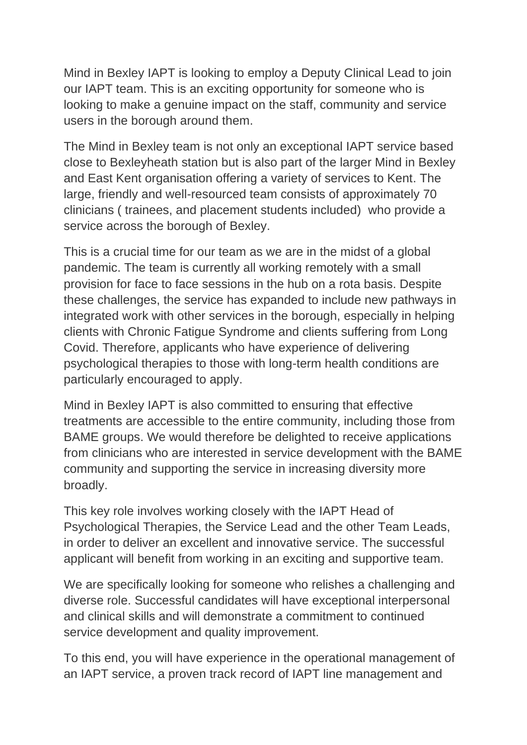Mind in Bexley IAPT is looking to employ a Deputy Clinical Lead to join our IAPT team. This is an exciting opportunity for someone who is looking to make a genuine impact on the staff, community and service users in the borough around them.

The Mind in Bexley team is not only an exceptional IAPT service based close to Bexleyheath station but is also part of the larger Mind in Bexley and East Kent organisation offering a variety of services to Kent. The large, friendly and well-resourced team consists of approximately 70 clinicians ( trainees, and placement students included) who provide a service across the borough of Bexley.

This is a crucial time for our team as we are in the midst of a global pandemic. The team is currently all working remotely with a small provision for face to face sessions in the hub on a rota basis. Despite these challenges, the service has expanded to include new pathways in integrated work with other services in the borough, especially in helping clients with Chronic Fatigue Syndrome and clients suffering from Long Covid. Therefore, applicants who have experience of delivering psychological therapies to those with long-term health conditions are particularly encouraged to apply.

Mind in Bexley IAPT is also committed to ensuring that effective treatments are accessible to the entire community, including those from BAME groups. We would therefore be delighted to receive applications from clinicians who are interested in service development with the BAME community and supporting the service in increasing diversity more broadly.

This key role involves working closely with the IAPT Head of Psychological Therapies, the Service Lead and the other Team Leads, in order to deliver an excellent and innovative service. The successful applicant will benefit from working in an exciting and supportive team.

We are specifically looking for someone who relishes a challenging and diverse role. Successful candidates will have exceptional interpersonal and clinical skills and will demonstrate a commitment to continued service development and quality improvement.

To this end, you will have experience in the operational management of an IAPT service, a proven track record of IAPT line management and